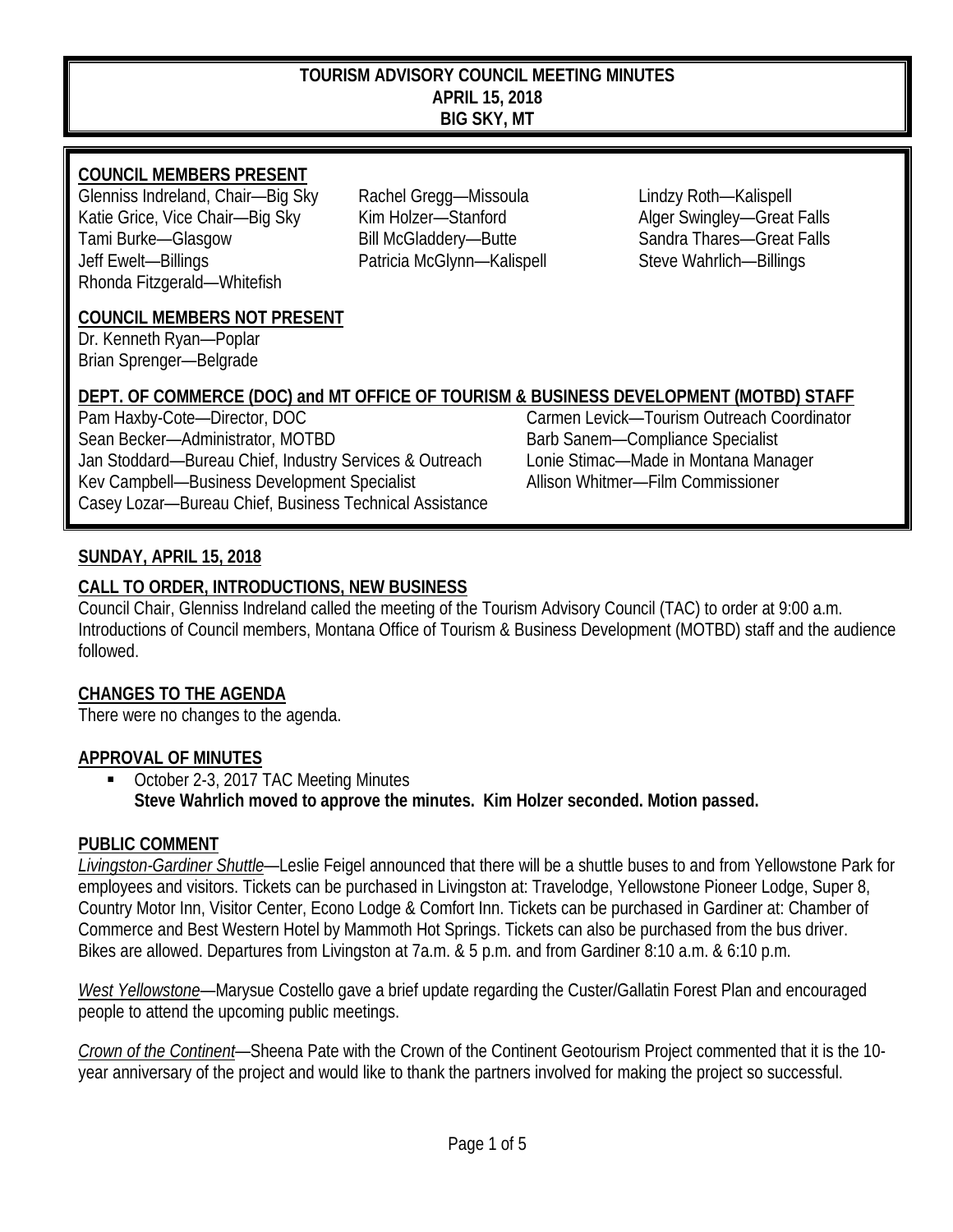#### **TOURISM ADVISORY COUNCIL MEETING MINUTES APRIL 15, 2018 BIG SKY, MT**

# **COUNCIL MEMBERS PRESENT**

Glenniss Indreland, Chair—Big Sky Rachel Gregg—Missoula Lindzy Roth—Kalispell Katie Grice, Vice Chair—Big Sky Kim Holzer—Stanford Alger Swingley—Great Falls Tami Burke—Glasgow Bill McGladdery—Butte Sandra Thares—Great Falls Jeff Ewelt—Billings Patricia McGlynn—Kalispell Steve Wahrlich—Billings Rhonda Fitzgerald—Whitefish

### **COUNCIL MEMBERS NOT PRESENT**

Dr. Kenneth Ryan—Poplar Brian Sprenger—Belgrade

### **DEPT. OF COMMERCE (DOC) and MT OFFICE OF TOURISM & BUSINESS DEVELOPMENT (MOTBD) STAFF**

Pam Haxby-Cote—Director, DOC Carmen Levick—Tourism Outreach Coordinator Sean Becker—Administrator, MOTBD Barb Sanem—Compliance Specialist Jan Stoddard—Bureau Chief, Industry Services & Outreach Lonie Stimac—Made in Montana Manager Kev Campbell—Business Development Specialist Allison Whitmer—Film Commissioner Casey Lozar—Bureau Chief, Business Technical Assistance

# **SUNDAY, APRIL 15, 2018**

### **CALL TO ORDER, INTRODUCTIONS, NEW BUSINESS**

Council Chair, Glenniss Indreland called the meeting of the Tourism Advisory Council (TAC) to order at 9:00 a.m. Introductions of Council members, Montana Office of Tourism & Business Development (MOTBD) staff and the audience followed.

#### **CHANGES TO THE AGENDA**

There were no changes to the agenda.

#### **APPROVAL OF MINUTES**

October 2-3, 2017 TAC Meeting Minutes **Steve Wahrlich moved to approve the minutes. Kim Holzer seconded. Motion passed.**

#### **PUBLIC COMMENT**

*Livingston-Gardiner Shuttle*—Leslie Feigel announced that there will be a shuttle buses to and from Yellowstone Park for employees and visitors. Tickets can be purchased in Livingston at: Travelodge, Yellowstone Pioneer Lodge, Super 8, Country Motor Inn, Visitor Center, Econo Lodge & Comfort Inn. Tickets can be purchased in Gardiner at: Chamber of Commerce and Best Western Hotel by Mammoth Hot Springs. Tickets can also be purchased from the bus driver. Bikes are allowed. Departures from Livingston at 7a.m. & 5 p.m. and from Gardiner 8:10 a.m. & 6:10 p.m.

*West Yellowstone*—Marysue Costello gave a brief update regarding the Custer/Gallatin Forest Plan and encouraged people to attend the upcoming public meetings.

*Crown of the Continent*—Sheena Pate with the Crown of the Continent Geotourism Project commented that it is the 10 year anniversary of the project and would like to thank the partners involved for making the project so successful.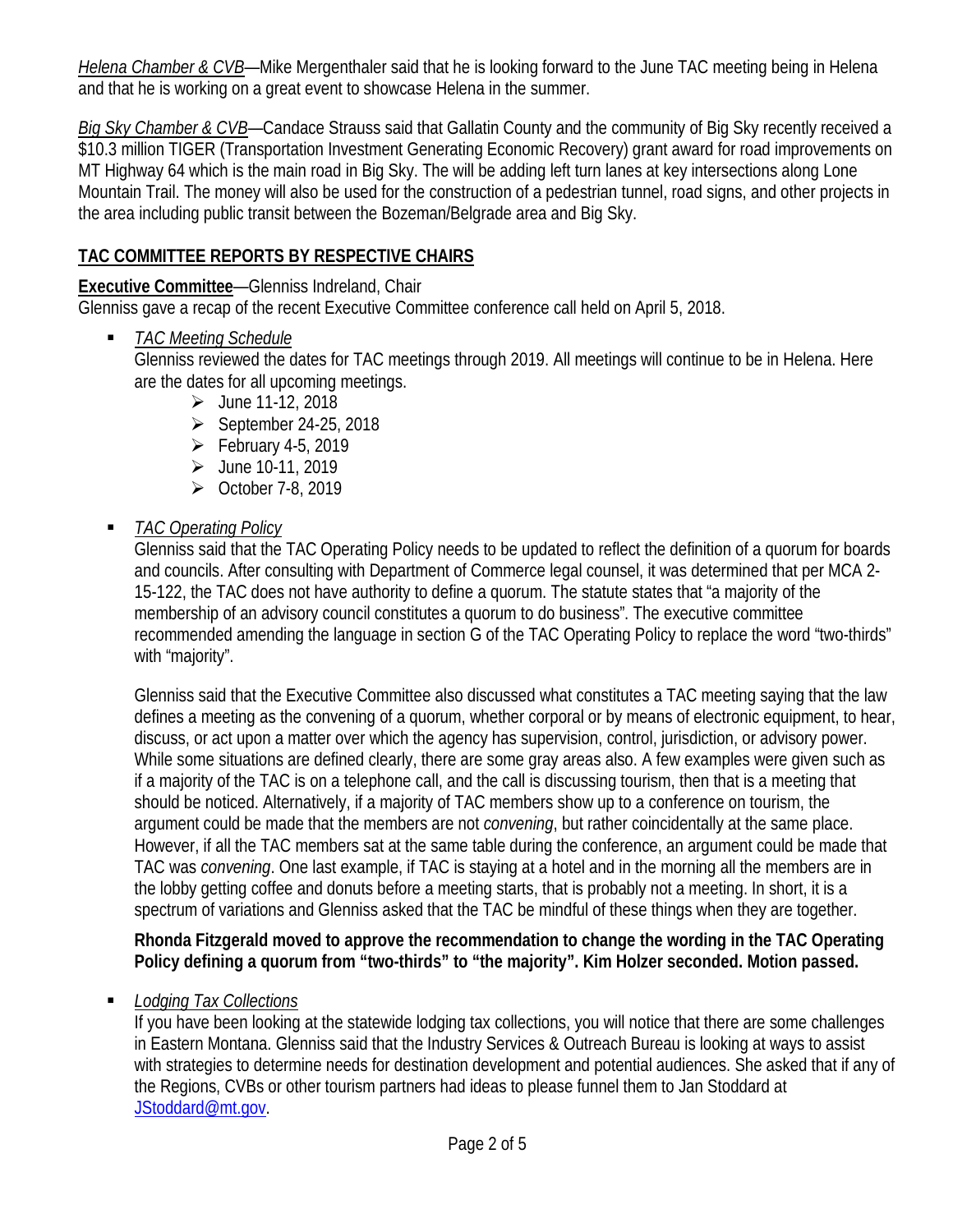*Helena Chamber & CVB*—Mike Mergenthaler said that he is looking forward to the June TAC meeting being in Helena and that he is working on a great event to showcase Helena in the summer.

*Big Sky Chamber & CVB*—Candace Strauss said that Gallatin County and the community of Big Sky recently received a \$10.3 million TIGER (Transportation Investment Generating Economic Recovery) grant award for road improvements on MT Highway 64 which is the main road in Big Sky. The will be adding left turn lanes at key intersections along Lone Mountain Trail. The money will also be used for the construction of a pedestrian tunnel, road signs, and other projects in the area including public transit between the Bozeman/Belgrade area and Big Sky.

# **TAC COMMITTEE REPORTS BY RESPECTIVE CHAIRS**

### **Executive Committee**—Glenniss Indreland, Chair

Glenniss gave a recap of the recent Executive Committee conference call held on April 5, 2018.

*TAC Meeting Schedule*

Glenniss reviewed the dates for TAC meetings through 2019. All meetings will continue to be in Helena. Here are the dates for all upcoming meetings.

- $\triangleright$  June 11-12, 2018
- $\triangleright$  September 24-25, 2018
- $\blacktriangleright$  February 4-5, 2019
- $\triangleright$  June 10-11, 2019
- $\triangleright$  October 7-8, 2019

# *TAC Operating Policy*

Glenniss said that the TAC Operating Policy needs to be updated to reflect the definition of a quorum for boards and councils. After consulting with Department of Commerce legal counsel, it was determined that per MCA 2- 15-122, the TAC does not have authority to define a quorum. The statute states that "a majority of the membership of an advisory council constitutes a quorum to do business". The executive committee recommended amending the language in section G of the TAC Operating Policy to replace the word "two-thirds" with "majority".

Glenniss said that the Executive Committee also discussed what constitutes a TAC meeting saying that the law defines a meeting as the convening of a quorum, whether corporal or by means of electronic equipment, to hear, discuss, or act upon a matter over which the agency has supervision, control, jurisdiction, or advisory power. While some situations are defined clearly, there are some gray areas also. A few examples were given such as if a majority of the TAC is on a telephone call, and the call is discussing tourism, then that is a meeting that should be noticed. Alternatively, if a majority of TAC members show up to a conference on tourism, the argument could be made that the members are not *convening*, but rather coincidentally at the same place. However, if all the TAC members sat at the same table during the conference, an argument could be made that TAC was *convening*. One last example, if TAC is staying at a hotel and in the morning all the members are in the lobby getting coffee and donuts before a meeting starts, that is probably not a meeting. In short, it is a spectrum of variations and Glenniss asked that the TAC be mindful of these things when they are together.

**Rhonda Fitzgerald moved to approve the recommendation to change the wording in the TAC Operating Policy defining a quorum from "two-thirds" to "the majority". Kim Holzer seconded. Motion passed.**

# *Lodging Tax Collections*

If you have been looking at the statewide lodging tax collections, you will notice that there are some challenges in Eastern Montana. Glenniss said that the Industry Services & Outreach Bureau is looking at ways to assist with strategies to determine needs for destination development and potential audiences. She asked that if any of the Regions, CVBs or other tourism partners had ideas to please funnel them to Jan Stoddard at [JStoddard@mt.gov.](mailto:JStoddard@mt.gov)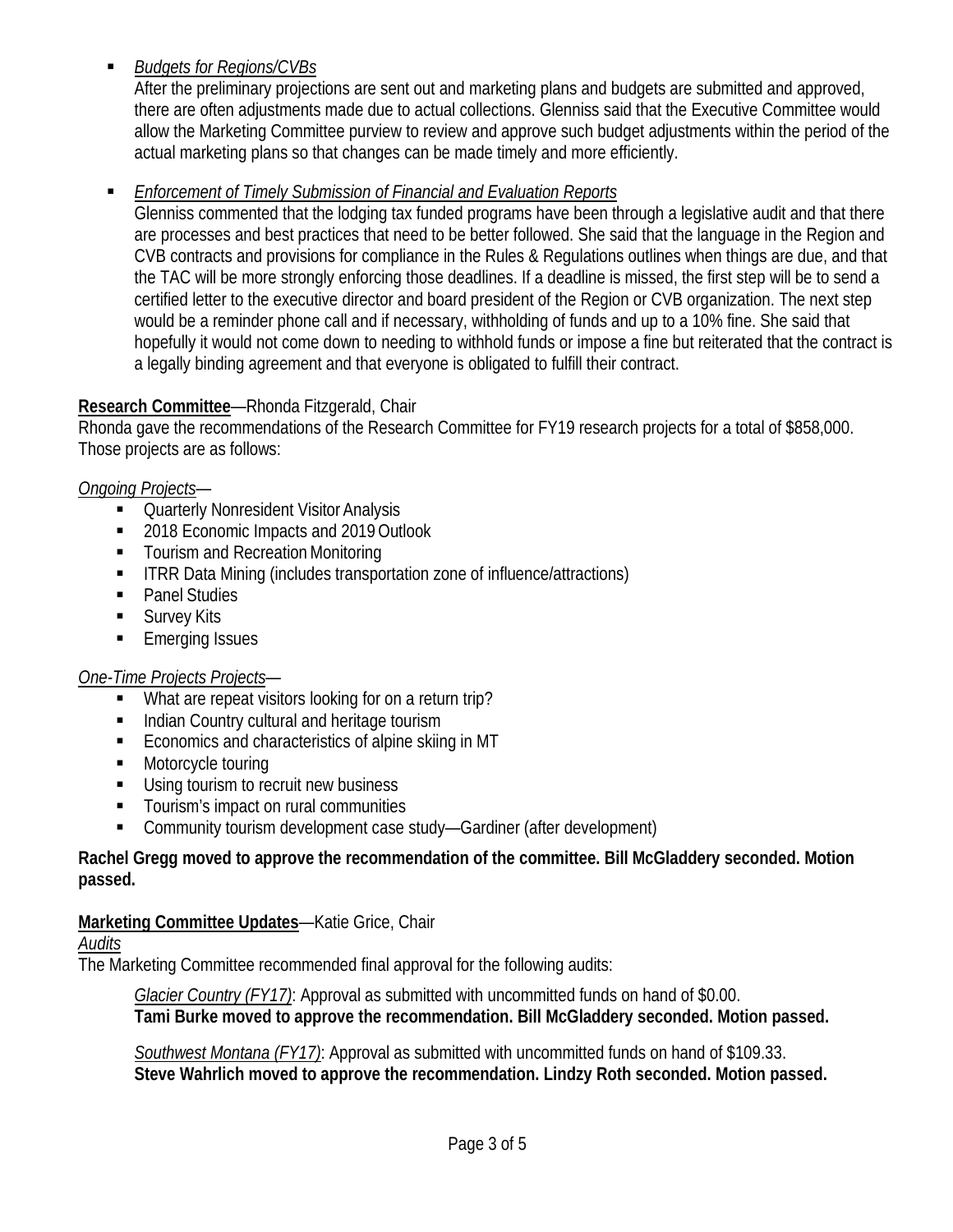*Budgets for Regions/CVBs*

After the preliminary projections are sent out and marketing plans and budgets are submitted and approved, there are often adjustments made due to actual collections. Glenniss said that the Executive Committee would allow the Marketing Committee purview to review and approve such budget adjustments within the period of the actual marketing plans so that changes can be made timely and more efficiently.

# *Enforcement of Timely Submission of Financial and Evaluation Reports*

Glenniss commented that the lodging tax funded programs have been through a legislative audit and that there are processes and best practices that need to be better followed. She said that the language in the Region and CVB contracts and provisions for compliance in the Rules & Regulations outlines when things are due, and that the TAC will be more strongly enforcing those deadlines. If a deadline is missed, the first step will be to send a certified letter to the executive director and board president of the Region or CVB organization. The next step would be a reminder phone call and if necessary, withholding of funds and up to a 10% fine. She said that hopefully it would not come down to needing to withhold funds or impose a fine but reiterated that the contract is a legally binding agreement and that everyone is obligated to fulfill their contract.

# **Research Committee**—Rhonda Fitzgerald, Chair

Rhonda gave the recommendations of the Research Committee for FY19 research projects for a total of \$858,000. Those projects are as follows:

# *Ongoing Projects*—

- **Duarterly Nonresident Visitor Analysis**
- 2018 Economic Impacts and 2019 Outlook
- Tourism and Recreation Monitoring
- ITRR Data Mining (includes transportation zone of influence/attractions)
- Panel Studies
- **Survey Kits**
- **Emerging Issues**

# *One-Time Projects Projects*—

- What are repeat visitors looking for on a return trip?
- **Indian Country cultural and heritage tourism**
- Economics and characteristics of alpine skiing in MT
- **Motorcycle touring**
- Using tourism to recruit new business
- Tourism's impact on rural communities
- Community tourism development case study—Gardiner (after development)

### **Rachel Gregg moved to approve the recommendation of the committee. Bill McGladdery seconded. Motion passed.**

# **Marketing Committee Updates**—Katie Grice, Chair

# *Audits*

The Marketing Committee recommended final approval for the following audits:

*Glacier Country (FY17)*: Approval as submitted with uncommitted funds on hand of \$0.00. **Tami Burke moved to approve the recommendation. Bill McGladdery seconded. Motion passed.**

*Southwest Montana (FY17)*: Approval as submitted with uncommitted funds on hand of \$109.33. **Steve Wahrlich moved to approve the recommendation. Lindzy Roth seconded. Motion passed.**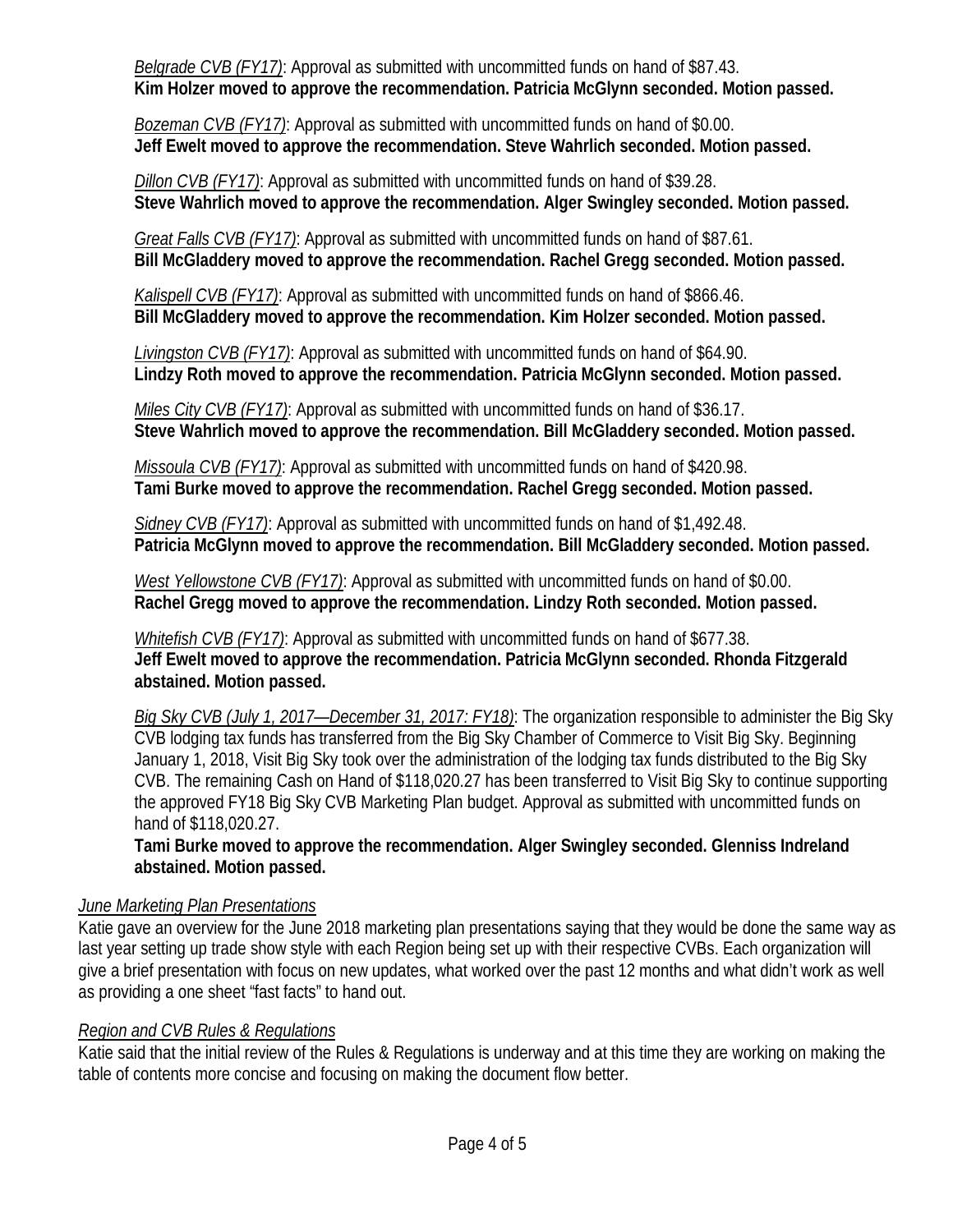*Belgrade CVB (FY17)*: Approval as submitted with uncommitted funds on hand of \$87.43. **Kim Holzer moved to approve the recommendation. Patricia McGlynn seconded. Motion passed.**

*Bozeman CVB (FY17)*: Approval as submitted with uncommitted funds on hand of \$0.00. **Jeff Ewelt moved to approve the recommendation. Steve Wahrlich seconded. Motion passed.**

*Dillon CVB (FY17)*: Approval as submitted with uncommitted funds on hand of \$39.28. **Steve Wahrlich moved to approve the recommendation. Alger Swingley seconded. Motion passed.**

*Great Falls CVB (FY17)*: Approval as submitted with uncommitted funds on hand of \$87.61. **Bill McGladdery moved to approve the recommendation. Rachel Gregg seconded. Motion passed.**

*Kalispell CVB (FY17)*: Approval as submitted with uncommitted funds on hand of \$866.46. **Bill McGladdery moved to approve the recommendation. Kim Holzer seconded. Motion passed.**

*Livingston CVB (FY17)*: Approval as submitted with uncommitted funds on hand of \$64.90. **Lindzy Roth moved to approve the recommendation. Patricia McGlynn seconded. Motion passed.**

*Miles City CVB (FY17)*: Approval as submitted with uncommitted funds on hand of \$36.17. **Steve Wahrlich moved to approve the recommendation. Bill McGladdery seconded. Motion passed.**

*Missoula CVB (FY17)*: Approval as submitted with uncommitted funds on hand of \$420.98. **Tami Burke moved to approve the recommendation. Rachel Gregg seconded. Motion passed.**

*Sidney CVB (FY17)*: Approval as submitted with uncommitted funds on hand of \$1,492.48. **Patricia McGlynn moved to approve the recommendation. Bill McGladdery seconded. Motion passed.**

*West Yellowstone CVB (FY17)*: Approval as submitted with uncommitted funds on hand of \$0.00. **Rachel Gregg moved to approve the recommendation. Lindzy Roth seconded. Motion passed.**

*Whitefish CVB (FY17)*: Approval as submitted with uncommitted funds on hand of \$677.38. **Jeff Ewelt moved to approve the recommendation. Patricia McGlynn seconded. Rhonda Fitzgerald abstained. Motion passed.**

*Big Sky CVB (July 1, 2017—December 31, 2017: FY18)*: The organization responsible to administer the Big Sky CVB lodging tax funds has transferred from the Big Sky Chamber of Commerce to Visit Big Sky. Beginning January 1, 2018, Visit Big Sky took over the administration of the lodging tax funds distributed to the Big Sky CVB. The remaining Cash on Hand of \$118,020.27 has been transferred to Visit Big Sky to continue supporting the approved FY18 Big Sky CVB Marketing Plan budget. Approval as submitted with uncommitted funds on hand of \$118,020.27.

**Tami Burke moved to approve the recommendation. Alger Swingley seconded. Glenniss Indreland abstained. Motion passed.**

# *June Marketing Plan Presentations*

Katie gave an overview for the June 2018 marketing plan presentations saying that they would be done the same way as last year setting up trade show style with each Region being set up with their respective CVBs. Each organization will give a brief presentation with focus on new updates, what worked over the past 12 months and what didn't work as well as providing a one sheet "fast facts" to hand out.

# *Region and CVB Rules & Regulations*

Katie said that the initial review of the Rules & Regulations is underway and at this time they are working on making the table of contents more concise and focusing on making the document flow better.